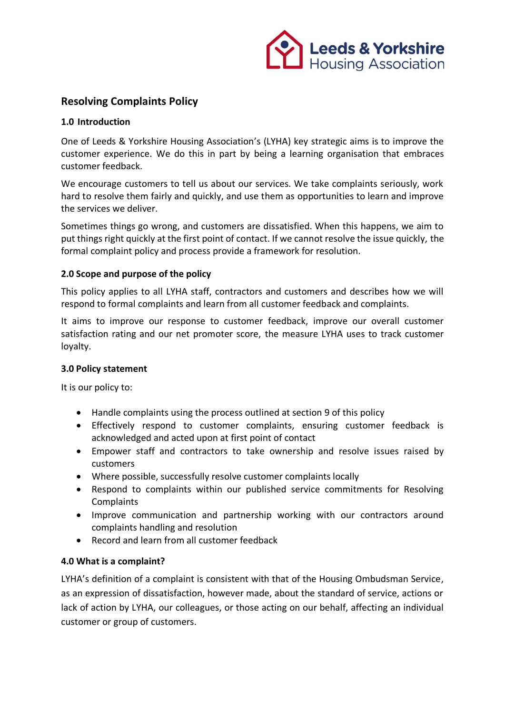

# **Resolving Complaints Policy**

### **1.0 Introduction**

One of Leeds & Yorkshire Housing Association's (LYHA) key strategic aims is to improve the customer experience. We do this in part by being a learning organisation that embraces customer feedback.

We encourage customers to tell us about our services. We take complaints seriously, work hard to resolve them fairly and quickly, and use them as opportunities to learn and improve the services we deliver.

Sometimes things go wrong, and customers are dissatisfied. When this happens, we aim to put things right quickly at the first point of contact. If we cannot resolve the issue quickly, the formal complaint policy and process provide a framework for resolution.

### **2.0 Scope and purpose of the policy**

This policy applies to all LYHA staff, contractors and customers and describes how we will respond to formal complaints and learn from all customer feedback and complaints.

It aims to improve our response to customer feedback, improve our overall customer satisfaction rating and our net promoter score, the measure LYHA uses to track customer loyalty.

#### **3.0 Policy statement**

It is our policy to:

- Handle complaints using the process outlined at section 9 of this policy
- Effectively respond to customer complaints, ensuring customer feedback is acknowledged and acted upon at first point of contact
- Empower staff and contractors to take ownership and resolve issues raised by customers
- Where possible, successfully resolve customer complaints locally
- Respond to complaints within our published service commitments for Resolving **Complaints**
- Improve communication and partnership working with our contractors around complaints handling and resolution
- Record and learn from all customer feedback

#### **4.0 What is a complaint?**

LYHA's definition of a complaint is consistent with that of the Housing Ombudsman Service, as an expression of dissatisfaction, however made, about the standard of service, actions or lack of action by LYHA, our colleagues, or those acting on our behalf, affecting an individual customer or group of customers.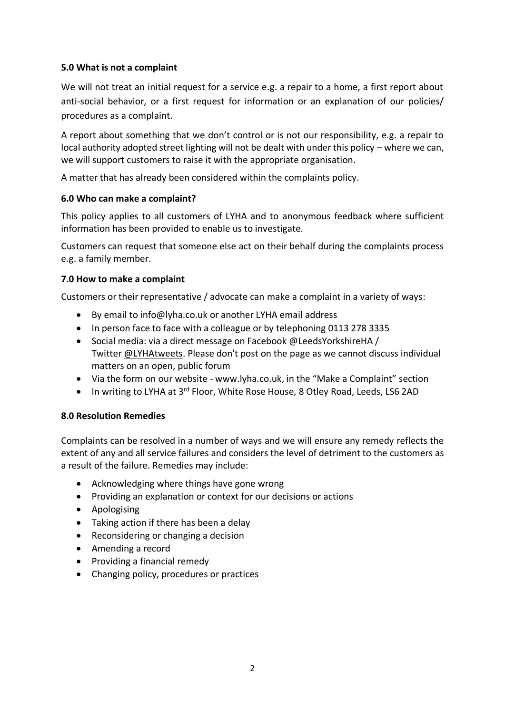### **5.0 What is not a complaint**

We will not treat an initial request for a service e.g. a repair to a home, a first report about anti-social behavior, or a first request for information or an explanation of our policies/ procedures as a complaint.

A report about something that we don't control or is not our responsibility, e.g. a repair to local authority adopted street lighting will not be dealt with under this policy – where we can, we will support customers to raise it with the appropriate organisation.

A matter that has already been considered within the complaints policy.

### **6.0 Who can make a complaint?**

This policy applies to all customers of LYHA and to anonymous feedback where sufficient information has been provided to enable us to investigate.

Customers can request that someone else act on their behalf during the complaints process e.g. a family member.

### **7.0 How to make a complaint**

Customers or their representative / advocate can make a complaint in a variety of ways:

- By email to [info@lyha.co.uk](mailto:info@lyha.co.uk) or another LYHA email address
- In person face to face with a colleague or by telephoning 0113 278 3335
- Social media: via a direct message on Facebook @LeedsYorkshireHA / Twitter [@LYHAtweets.](https://twitter.com/LYHAtweets) Please don't post on the page as we cannot discuss individual matters on an open, public forum
- Via the form on our website [www.lyha.co.uk,](http://www.lyha.co.uk/) in the "Make a Complaint" section
- In writing to LYHA at 3<sup>rd</sup> Floor, White Rose House, 8 Otley Road, Leeds, LS6 2AD

#### **8.0 Resolution Remedies**

Complaints can be resolved in a number of ways and we will ensure any remedy reflects the extent of any and all service failures and considers the level of detriment to the customers as a result of the failure. Remedies may include:

- Acknowledging where things have gone wrong
- Providing an explanation or context for our decisions or actions
- Apologising
- Taking action if there has been a delay
- Reconsidering or changing a decision
- Amending a record
- Providing a financial remedy
- Changing policy, procedures or practices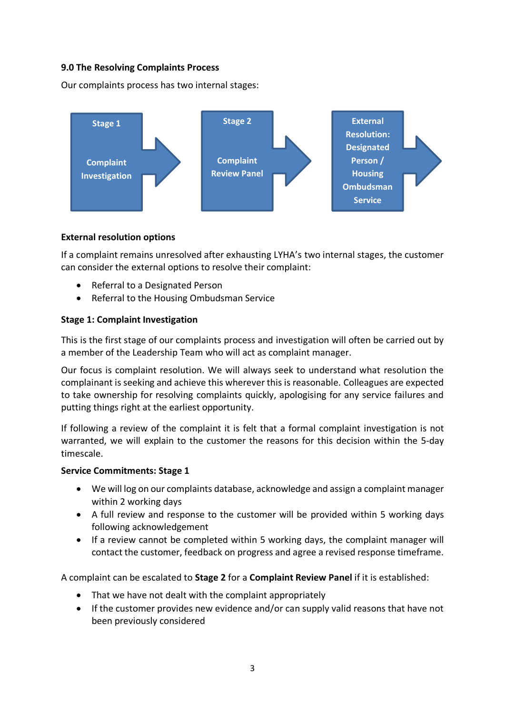## **9.0 The Resolving Complaints Process**

Our complaints process has two internal stages:



## **External resolution options**

If a complaint remains unresolved after exhausting LYHA's two internal stages, the customer can consider the external options to resolve their complaint:

- Referral to a Designated Person
- Referral to the Housing Ombudsman Service

### **Stage 1: Complaint Investigation**

This is the first stage of our complaints process and investigation will often be carried out by a member of the Leadership Team who will act as complaint manager.

Our focus is complaint resolution. We will always seek to understand what resolution the complainant is seeking and achieve this wherever this is reasonable. Colleagues are expected to take ownership for resolving complaints quickly, apologising for any service failures and putting things right at the earliest opportunity.

If following a review of the complaint it is felt that a formal complaint investigation is not warranted, we will explain to the customer the reasons for this decision within the 5-day timescale.

#### **Service Commitments: Stage 1**

- We will log on our complaints database, acknowledge and assign a complaint manager within 2 working days
- A full review and response to the customer will be provided within 5 working days following acknowledgement
- If a review cannot be completed within 5 working days, the complaint manager will contact the customer, feedback on progress and agree a revised response timeframe.

A complaint can be escalated to **Stage 2** for a **Complaint Review Panel** if it is established:

- That we have not dealt with the complaint appropriately
- If the customer provides new evidence and/or can supply valid reasons that have not been previously considered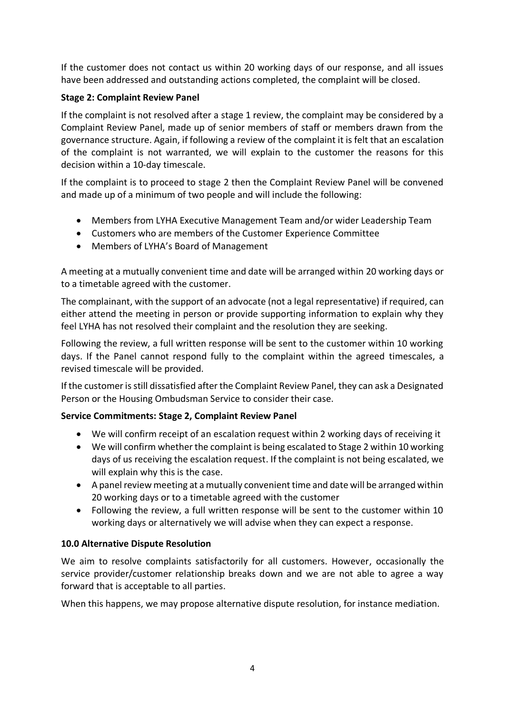If the customer does not contact us within 20 working days of our response, and all issues have been addressed and outstanding actions completed, the complaint will be closed.

## **Stage 2: Complaint Review Panel**

If the complaint is not resolved after a stage 1 review, the complaint may be considered by a Complaint Review Panel, made up of senior members of staff or members drawn from the governance structure. Again, if following a review of the complaint it is felt that an escalation of the complaint is not warranted, we will explain to the customer the reasons for this decision within a 10-day timescale.

If the complaint is to proceed to stage 2 then the Complaint Review Panel will be convened and made up of a minimum of two people and will include the following:

- Members from LYHA Executive Management Team and/or wider Leadership Team
- Customers who are members of the Customer Experience Committee
- Members of LYHA's Board of Management

A meeting at a mutually convenient time and date will be arranged within 20 working days or to a timetable agreed with the customer.

The complainant, with the support of an advocate (not a legal representative) if required, can either attend the meeting in person or provide supporting information to explain why they feel LYHA has not resolved their complaint and the resolution they are seeking.

Following the review, a full written response will be sent to the customer within 10 working days. If the Panel cannot respond fully to the complaint within the agreed timescales, a revised timescale will be provided.

If the customer is still dissatisfied after the Complaint Review Panel, they can ask a Designated Person or the Housing Ombudsman Service to consider their case.

## **Service Commitments: Stage 2, Complaint Review Panel**

- We will confirm receipt of an escalation request within 2 working days of receiving it
- We will confirm whether the complaint is being escalated to Stage 2 within 10 working days of us receiving the escalation request. If the complaint is not being escalated, we will explain why this is the case.
- A panel review meeting at a mutually convenient time and date will be arranged within 20 working days or to a timetable agreed with the customer
- Following the review, a full written response will be sent to the customer within 10 working days or alternatively we will advise when they can expect a response.

## **10.0 Alternative Dispute Resolution**

We aim to resolve complaints satisfactorily for all customers. However, occasionally the service provider/customer relationship breaks down and we are not able to agree a way forward that is acceptable to all parties.

When this happens, we may propose alternative dispute resolution, for instance mediation.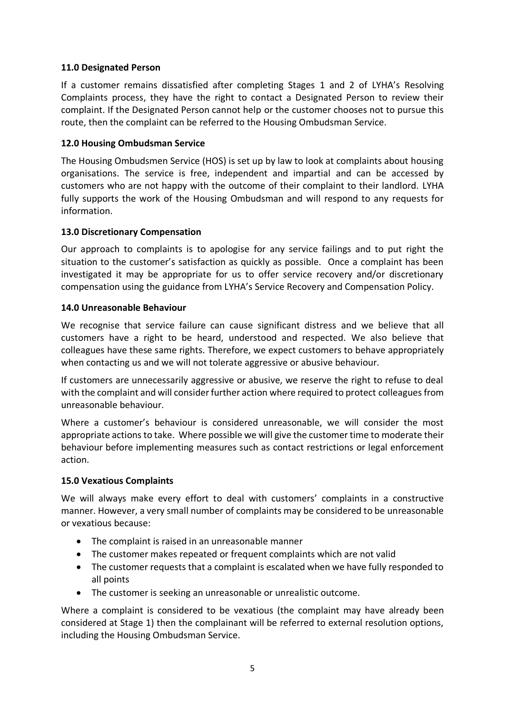## **11.0 Designated Person**

If a customer remains dissatisfied after completing Stages 1 and 2 of LYHA's Resolving Complaints process, they have the right to contact a Designated Person to review their complaint. If the Designated Person cannot help or the customer chooses not to pursue this route, then the complaint can be referred to the Housing Ombudsman Service.

## **12.0 Housing Ombudsman Service**

The Housing Ombudsmen Service (HOS) is set up by law to look at complaints about housing organisations. The service is free, independent and impartial and can be accessed by customers who are not happy with the outcome of their complaint to their landlord. LYHA fully supports the work of the Housing Ombudsman and will respond to any requests for information.

### **13.0 Discretionary Compensation**

Our approach to complaints is to apologise for any service failings and to put right the situation to the customer's satisfaction as quickly as possible. Once a complaint has been investigated it may be appropriate for us to offer service recovery and/or discretionary compensation using the guidance from LYHA's Service Recovery and Compensation Policy.

### **14.0 Unreasonable Behaviour**

We recognise that service failure can cause significant distress and we believe that all customers have a right to be heard, understood and respected. We also believe that colleagues have these same rights. Therefore, we expect customers to behave appropriately when contacting us and we will not tolerate aggressive or abusive behaviour.

If customers are unnecessarily aggressive or abusive, we reserve the right to refuse to deal with the complaint and will consider further action where required to protect colleaguesfrom unreasonable behaviour.

Where a customer's behaviour is considered unreasonable, we will consider the most appropriate actions to take. Where possible we will give the customer time to moderate their behaviour before implementing measures such as contact restrictions or legal enforcement action.

#### **15.0 Vexatious Complaints**

We will always make every effort to deal with customers' complaints in a constructive manner. However, a very small number of complaints may be considered to be unreasonable or vexatious because:

- The complaint is raised in an unreasonable manner
- The customer makes repeated or frequent complaints which are not valid
- The customer requests that a complaint is escalated when we have fully responded to all points
- The customer is seeking an unreasonable or unrealistic outcome.

Where a complaint is considered to be vexatious (the complaint may have already been considered at Stage 1) then the complainant will be referred to external resolution options, including the Housing Ombudsman Service.